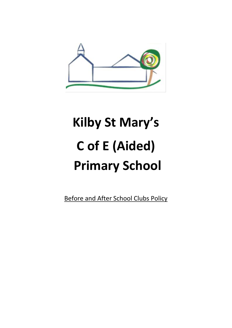

# **Kilby St Mary's C of E (Aided) Primary School**

Before and After School Clubs Policy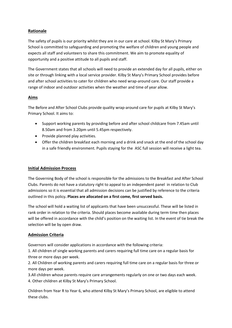## **Rationale**

The safety of pupils is our priority whilst they are in our care at school. Kilby St Mary's Primary School is committed to safeguarding and promoting the welfare of children and young people and expects all staff and volunteers to share this commitment. We aim to promote equality of opportunity and a positive attitude to all pupils and staff.

The Government states that all schools will need to provide an extended day for all pupils, either on site or through linking with a local service provider. Kilby St Mary's Primary School provides before and after school activities to cater for children who need wrap-around care. Our staff provide a range of indoor and outdoor activities when the weather and time of year allow.

## **Aims**

The Before and After School Clubs provide quality wrap-around care for pupils at Kilby St Mary's Primary School. It aims to:

- Support working parents by providing before and after school childcare from 7.45am until 8.50am and from 3.20pm until 5.45pm respectively.
- Provide planned play activities.
- Offer the children breakfast each morning and a drink and snack at the end of the school day in a safe friendly environment. Pupils staying for the ASC full session will receive a light tea.

## **Initial Admission Process**

The Governing Body of the school is responsible for the admissions to the Breakfast and After School Clubs. Parents do not have a statutory right to appeal to an independent panel in relation to Club admissions so it is essential that all admission decisions can be justified by reference to the criteria outlined in this policy**. Places are allocated on a first come, first served basis.** 

The school will hold a waiting list of applicants that have been unsuccessful. These will be listed in rank order in relation to the criteria. Should places become available during term time then places will be offered in accordance with the child's position on the waiting list. In the event of tie break the selection will be by open draw.

## **Admission Criteria**

Governors will consider applications in accordance with the following criteria:

1. All children of single working parents and carers requiring full time care on a regular basis for three or more days per week.

2. All Children of working parents and carers requiring full time care on a regular basis for three or more days per week.

3.All children whose parents require care arrangements regularly on one or two days each week.

4. Other children at Kilby St Mary's Primary School.

Children from Year R to Year 6, who attend Kilby St Mary's Primary School, are eligible to attend these clubs.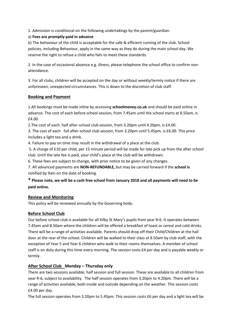1. Admission is conditional on the following undertakings by the parent/guardian:

#### a) **Fees are promptly paid in advance**

b) The behaviour of the child is acceptable for the safe & efficient running of the club. School policies, including Behaviour, apply in the same way as they do during the main school day. We reserve the right to refuse a child who fails to meet these standards.

2. In the case of occasional absence e.g. illness, please telephone the school office to confirm nonattendance.

3. For all clubs, children will be accepted on the day or without weekly/termly notice if there are unforeseen, unexpected circumstances. This is down to the discretion of club staff.

#### **Booking and Payment**

1.All bookings must be made inline by accessing **schoolmoney.co.uk** and should be paid online in advance. The cost of each before school session, from 7.45am until the school starts at 8.50am, is £4.00.

2. The cost of each half after-school club session, from 3.20pm until 4.20pm, is £4.00.

3. The cost of each full after-school club session, from 3.20pm until 5.45pm, is £6.00. This price includes a light tea and a drink.

4. Failure to pay on time may result in the withdrawal of a place at the club.

5. A charge of £10 per child, per 15 minute period will be made for late pick up from the after school club. Until the late fee is paid, your child's place at the club will be withdrawn.

6. These fees are subject to change, with prior notice to be given of any changes.

7. All advanced payments are **NON-REFUNDABLE,** but may be carried forward if the **school is**  notified by 9am on the date of booking.

**\* Please note, we will be a cash free school from January 2018 and all payments will need to be paid online.**

## **Review and Monitoring**

This policy will be reviewed annually by the Governing body.

## **Before School Club**

Our before school club is available for all Kilby St Mary's pupils from year R-6. It operates between 7.45am and 8.50am where the children will be offered a breakfast of toast or cereal and cold drinks. There will be a range of activities available. Parents should drop off their Child/Children at the hall door at the rear of the school. Children will be walked to their class at 8.50am by club staff, with the exception of Year 5 and Year 6 children who walk to their rooms themselves. A member of school staff is on duty during this time every morning. The session costs £4 per day and is payable weekly or termly.

## **After School Club Monday – Thursday only**

There are two sessions available, half session and full session. These are available to all children from year R-6, subject to availability. The half session operates from 3.20pm to 4.20pm. There will be a range of activities available, both inside and outside depending on the weather. This session costs £4.00 per day.

The full session operates from 3.20pm to 5.45pm. This session costs £6 per day and a light tea will be